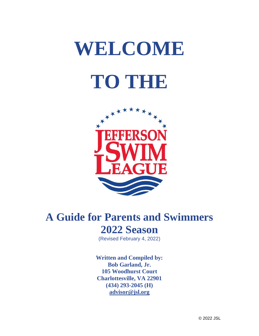# **WELCOME TO THE**



## **A Guide for Parents and Swimmers 2022 Season**

(Revised February 4, 2022)

**Written and Compiled by: Bob Garland, Jr. 105 Woodhurst Court Charlottesville, VA 22901 (434) 293-2045 (H) [advisor@jsl.org](mailto:bgarlandjr@gmail.com)**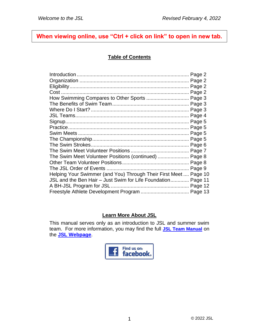#### **When viewing online, use "Ctrl + click on link" to open in new tab.**

#### **Table of Contents**

| How Swimming Compares to Other Sports  Page 3                    |  |
|------------------------------------------------------------------|--|
|                                                                  |  |
|                                                                  |  |
|                                                                  |  |
|                                                                  |  |
|                                                                  |  |
|                                                                  |  |
|                                                                  |  |
|                                                                  |  |
|                                                                  |  |
| The Swim Meet Volunteer Positions (continued)  Page 8            |  |
|                                                                  |  |
|                                                                  |  |
| Helping Your Swimmer (and You) Through Their First Meet  Page 10 |  |
| JSL and the Ben Hair - Just Swim for Life Foundation Page 11     |  |
|                                                                  |  |
| Freestyle Athlete Development Program  Page 13                   |  |

#### **Learn More About JSL**

This manual serves only as an introduction to JSL and summer swim team. For more information, you may find the full **[JSL Team Manual](https://www.jsl.org/information2020.php?content=teammanual)** on the **[JSL Webpage](https://www.jsl.org/index.php)**.

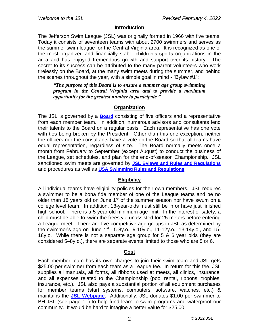#### **Introduction**

The Jefferson Swim League (JSL) was originally formed in 1966 with five teams. Today it consists of seventeen teams with about 2700 swimmers and serves as the summer swim league for the Central Virginia area. It is recognized as one of the most organized and financially stable children's sports organizations in the area and has enjoyed tremendous growth and support over its history. The secret to its success can be attributed to the many parent volunteers who work tirelessly on the Board, at the many swim meets during the summer, and behind the scenes throughout the year, with a simple goal in mind - "Bylaw #1":

*"The purpose of this Board is to ensure a summer age group swimming program in the Central Virginia area and to provide a maximum opportunity for the greatest number to participate."*

#### **Organization**

The JSL is governed by a **[Board](https://www.jsl.org/information2020.php?content=board&menu=organization§ion=board)** consisting of five officers and a representative from each member team. In addition, numerous advisors and consultants lend their talents to the Board on a regular basis. Each representative has one vote with ties being broken by the President. Other than this one exception, neither the officers nor the consultants have a vote on the Board so that all teams have equal representation, regardless of size. The Board normally meets once a month from February to September (except August) to conduct the business of the League, set schedules, and plan for the end-of-season Championship. JSL sanctioned swim meets are governed by **[JSL Bylaws and Rules and Regulations](https://www.jsl.org/information2020.php?content=bylaws)** and procedures as well as **[USA Swimming Rules and Regulations](https://www.usaswimming.org/docs/default-source/governance/governance-lsc-website/rules_policies/2022-mini-rulebook.pdf)**.

#### **Eligibility**

All individual teams have eligibility policies for their own members. JSL requires a swimmer to be a bona fide member of one of the League teams and be no older than 18 years old on June  $1<sup>st</sup>$  of the summer season nor have swum on a college level team. In addition, 18-year-olds must still be in or have just finished high school. There is a 5-year-old minimum age limit. In the interest of safety, a child must be able to swim the freestyle unassisted for 25 meters before entering a League meet. There are five competitive age groups in JSL as determined by the swimmer's age on June 1st - 5-8y.o., 9-10y.o., 11-12y.o., 13-14y.o., and 15-18y.o. While there is not a separate age group for 5 & 6 year olds (they are considered 5–8y.o.), there are separate events limited to those who are 5 or 6.

#### **Cost**

Each member team has its own charges to join their swim team and JSL gets \$25.00 per swimmer from each team as a League fee. In return for this fee, JSL supplies all manuals, all forms, all ribbons used at meets, all clinics, insurance, and all expenses related to the Championship (pool rental, ribbons, trophies, insurance, etc.). JSL also pays a substantial portion of all equipment purchases for member teams (start systems, computers, software, watches, etc.) & maintains the **[JSL Webpage](https://www.jsl.org/index.php)**. Additionally, JSL donates \$1.00 per swimmer to BH-JSL (see page 11) to help fund learn-to-swim programs and waterproof our community. It would be hard to imagine a better value for \$25.00.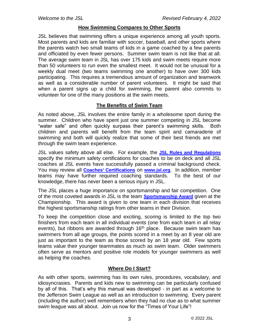#### **How Swimming Compares to Other Sports**

JSL believes that swimming offers a unique experience among all youth sports. Most parents and kids are familiar with soccer, baseball, and other sports where the parents watch two small teams of kids in a game coached by a few parents and officiated by even fewer persons. Summer swim team is not like that at all. The average swim team in JSL has over 175 kids and swim meets require more than 50 volunteers to run even the smallest meet. It would not be unusual for a weekly dual meet (two teams swimming one another) to have over 300 kids participating. This requires a tremendous amount of organization and teamwork as well as a considerable number of parent volunteers. It might be said that when a parent signs up a child for swimming, the parent also commits to volunteer for one of the many positions at the swim meets.

#### **The Benefits of Swim Team**

As noted above, JSL involves the entire family in a wholesome sport during the summer. Children who have spent just one summer competing in JSL become "water safe" and often quickly surpass their parent's swimming skills. Both children and parents will benefit from the team spirit and camaraderie of swimming and both will quickly realize that some of their best friends are met through the swim team experience.

JSL values safety above all else. For example, the **[JSL Rules and Regulations](https://www.jsl.org/information2020.php?content=bylaws)** specify the minimum safety certifications for coaches to be on deck and all JSL coaches at JSL events have successfully passed a criminal background check. You may review all **[Coaches' Certifications](https://www.jsl.org/support2020.php?section=coaches&content=coachcert)** on **[www.jsl.org](https://www.jsl.org/index.php)**. In addition, member teams may have further required coaching standards. To the best of our knowledge, there has never been a serious injury in JSL.

The JSL places a huge importance on sportsmanship and fair competition. One of the most coveted awards in JSL is the team **[Sportsmanship Award](https://www.jsl.org/general2020.php?menu=main§ion=sportsmanship&content=sportsmanship)** given at the Championship. This award is given to one team in each division that receives the highest sportsmanship ratings from other teams in their Division.

To keep the competition close and exciting, scoring is limited to the top two finishers from each team in all individual events (one from each team in all relay events), but ribbons are awarded through 16<sup>th</sup> place. Because swim team has swimmers from all age groups, the points scored in a meet by an 8 year old are just as important to the team as those scored by an 18 year old. Few sports teams value their younger teammates as much as swim team. Older swimmers often serve as mentors and positive role models for younger swimmers as well as helping the coaches.

#### **Where Do I Start?**

As with other sports, swimming has its own rules, procedures, vocabulary, and idiosyncrasies. Parents and kids new to swimming can be particularly confused by all of this. That's why this manual was developed - in part as a welcome to the Jefferson Swim League as well as an introduction to swimming. Every parent (including the author) well remembers when they had no clue as to what summer swim league was all about. Join us now for the "Times of Your Life"!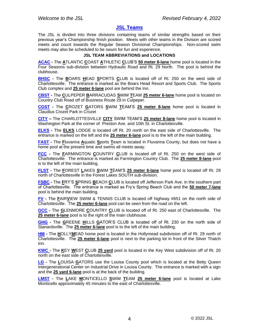#### **[JSL Teams](https://www.jsl.org/teams2020.php)**

The JSL is divided into three divisions containing teams of similar strengths based on their previous year's Championship finish position. Meets with other teams in the Division are scored meets and count towards the Regular Season Divisional Championships. Non-scored swim meets may also be scheduled to be swum for fun and experience.

#### **JSL TEAM ABBREVIATIONS and LOCATIONS**

**[ACAC](https://www.jsl.org/acac2020.php) -** The **A**TLANTIC **C**OAST **A**THLETIC **C**LUB'S **50 meter 8-lane** home pool is located in the Four Seasons sub-division between Hydraulic Road and Rt. 29 North. The pool is behind the clubhouse.

**[BHSC](https://www.jsl.org/bhsc2020.php) -** The **B**OARS **H**EAD **S**PORTS **C**LUB is located off of Rt. 250 on the west side of Charlottesville. The entrance is marked as the Boars Head Resort and Sports Club. The Sports Club complex and **25 meter 6-lane** pool are behind the Inn.

**[CBST](https://www.jsl.org/cbst2020.php) -** The **C**ULPEPER **B**ARRACUDAS **S**WIM **T**EAM **25 meter 6-lane** home pool is located on Country Club Road off of Business Route 29 in Culpeper.

**[CGST](https://www.jsl.org/cgst2020.php) -** The **C**ROZET **G**ATORS **S**WIM **T**EAM'S **25 meter 8-lane** home pool is located in Claudius Crozet Park in Crozet

**[CITY](https://www.jsl.org/city2020.php) –** The CHARLOTTESVILLE **CITY** SWIM TEAM'S **25 meter 8-lane** home pool is located in Washington Park at the corner of Preston Ave. and 10th St. in Charlottesville.

**[ELKS](https://www.jsl.org/cgst2020.php) -** The **ELKS** LODGE is located off Rt. 20 north on the east side of Charlottesville. The entrance is marked on the left and the **25 meter 6-lane** pool is to the left of the main building.

**[FAST](https://www.jsl.org/fast2020.php) -** The **F**luvanna **A**quatic **S**ports **T**eam is located in Fluvanna County, but does not have a home pool at the present time and swims all meets away.

**[FCC](https://www.jsl.org/fcc2020.php) -** The **F**ARMINGTON **C**OUNTRY **C**LUB is located off of Rt. 250 on the west side of Charlottesville. The entrance is marked as Farmington Country Club. The **25 meter 8-lane** pool is to the left of the main building.

**[FLST](https://www.jsl.org/flst2020.php) -** The **F**OREST **L**AKES **S**WIM **T**EAM'S **25 meter 6-lane** home pool is located off Rt. 29 north of Charlottesville in the Forest Lakes SOUTH sub-division.

**[FSBC](https://www.jsl.org/fsbc2020.php) -** The **F**RY'S **S**PRING **B**EACH **C**LUB is located off Jefferson Park Ave. in the southern part of Charlottesville. The entrance is marked as Fry's Spring Beach Club and the **50 meter 7-lane** pool is behind the main building.

**[FV](https://www.jsl.org/fv2020.php) -** The **F**AIR**V**IEW SWIM & TENNIS CLUB is located off highway #651 on the north side of Charlottesville. The **25 meter 6-lane** pool can be seen from the road on the left.

**[GCC](https://www.jsl.org/gcc2020.php) -** The **G**LENMORE **C**OUNTRY **C**LUB is located off of Rt. 250 east of Charlottesville. The **25 meter 6-lane** pool is to the right of the main clubhouse.

**[GHG](https://www.jsl.org/ghg2020.php) -** The **G**REENE **H**ILLS **G**ATOR'S CLUB is located off of Rt. 230 on the north side of Stanardsville. The **25 meter 6-lane** pool is to the left of the main building.

**[HM](https://www.jsl.org/hm2020.php) -** The **H**OLLY**M**EAD home pool is located in the Hollymead subdivision off of Rt. 29 north of Charlottesville. The **25 meter 6-lane** pool is next to the parking lot in front of the Silver Thatch Inn.

**[KWC](https://www.jsl.org/kwc2020.php) -** The **K**EY **W**EST **C**LUB **25 yard** pool is located in the Key West subdivision off of Rt. 20 north on the east side of Charlottesville.

**[LG](https://www.jsl.org/lg2020.php) -** The **L**OUISA **G**ATORS use the Louisa County pool which is located at the Betty Queen Intergenerational Center on Industrial Drive in Louisa County. The entrance is marked with a sign and the **25 yard 6-lane** pool is at the back of the building.

**[LMST](https://www.jsl.org/lmst2020.php) -** The **L**AKE **M**ONTICELLO **S**WIM **T**EAM **25 meter 6-lane** pool is located at Lake Monticello approximately 45 minutes to the east of Charlottesville.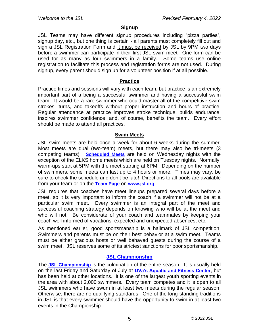#### **Signup**

JSL Teams may have different signup procedures including "pizza parties", signup day, etc., but one thing is certain - all parents must completely fill out and sign a JSL Registration Form and it must be received by JSL by 9PM two days before a swimmer can participate in their first JSL swim meet. One form can be used for as many as four swimmers in a family. Some teams use online registration to facilitate this process and registration forms are not used. During signup, every parent should sign up for a volunteer position if at all possible.

#### **Practice**

Practice times and sessions will vary with each team, but practice is an extremely important part of a being a successful swimmer and having a successful swim team. It would be a rare swimmer who could master all of the competitive swim strokes, turns, and takeoffs without proper instruction and hours of practice. Regular attendance at practice improves stroke technique, builds endurance, inspires swimmer confidence, and, of course, benefits the team. Every effort should be made to attend all practices.

#### **Swim Meets**

JSL swim meets are held once a week for about 6 weeks during the summer. Most meets are dual (two-team) meets, but there may also be tri-meets (3 competing teams). **[Scheduled Meets](https://www.jsl.org/information2020.php?content=meetsched&menu=meets§ion=meetsched)** are held on Wednesday nights with the exception of the ELKS home meets which are held on Tuesday nights. Normally, warm-ups start at 5PM with the meet starting at 6PM. Depending on the number of swimmers, some meets can last up to 4 hours or more. Times may vary, be sure to check the schedule and don't be late! Directions to all pools are available from your team or on the **[Team Page](https://www.jsl.org/teams2020.php)** on **[www.jsl.org](https://www.jsl.org/index.php)**.

JSL requires that coaches have meet lineups prepared several days before a meet, so it is very important to inform the coach if a swimmer will not be at a particular swim meet. Every swimmer is an integral part of the meet and successful coaching strategy depends on knowing who will be at the meet and who will not. Be considerate of your coach and teammates by keeping your coach well informed of vacations, expected and unexpected absences, etc.

As mentioned earlier, good sportsmanship is a hallmark of JSL competition. Swimmers and parents must be on their best behavior at a swim meet. Teams must be either gracious hosts or well behaved guests during the course of a swim meet. JSL reserves some of its strictest sanctions for poor sportsmanship.

#### **[JSL Championship](https://www.jsl.org/championship2020.php)**

The **[JSL Championship](https://www.jsl.org/championship2020.php)** is the culmination of the entire season. It is usually held on the last Friday and Saturday of July at **[UVa's Aquatic and Fitness Center](http://recsports.virginia.edu/?q=aquatic-and-fitness-center)**, but has been held at other locations. It is one of the largest youth sporting events in the area with about 2,000 swimmers. Every team competes and it is open to all JSL swimmers who have swum in at least two meets during the regular season. Otherwise, there are no qualifying standards. One of the long-standing traditions in JSL is that every swimmer should have the opportunity to swim in at least two events in the Championship.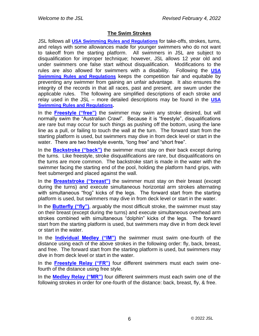#### **The Swim Strokes**

JSL follows all **[USA Swimming Rules and Regulations](https://www.usaswimming.org/docs/default-source/governance/governance-lsc-website/rules_policies/2022-mini-rulebook.pdf)** for take-offs, strokes, turns, and relays with some allowances made for younger swimmers who do not want to takeoff from the starting platform. All swimmers in JSL are subject to disqualification for improper technique; however, JSL allows 12 year old and under swimmers one false start without disqualification. Modifications to the rules are also allowed for swimmers with a disability. Following the **[USA](https://www.usaswimming.org/docs/default-source/governance/governance-lsc-website/rules_policies/2022-mini-rulebook.pdf)  [Swimming Rules and Regulations](https://www.usaswimming.org/docs/default-source/governance/governance-lsc-website/rules_policies/2022-mini-rulebook.pdf)** keeps the competition fair and equitable by preventing any swimmer from gaining an unfair advantage. It also ensures the integrity of the records in that all races, past and present, are swum under the applicable rules. The following are simplified descriptions of each stroke and relay used in the JSL – more detailed descriptions may be found in the **[USA](https://www.usaswimming.org/docs/default-source/governance/governance-lsc-website/rules_policies/2022-mini-rulebook.pdf)  [Swimming Rules and Regulations.](https://www.usaswimming.org/docs/default-source/governance/governance-lsc-website/rules_policies/2022-mini-rulebook.pdf)**

In the **[Freestyle \("free"\)](https://www.youtube.com/watch?v=SONx52cyltI)** the swimmer may swim any stroke desired, but will normally swim the "Australian Crawl". Because it is "freestyle", disqualifications are rare but may occur for such things as pushing off the bottom, using the lane line as a pull, or failing to touch the wall at the turn. The forward start from the starting platform is used, but swimmers may dive in from deck level or start in the water. There are two freestyle events, "long free" and "short free".

In the **[Backstroke \("back"\)](https://www.youtube.com/watch?v=JghqyliWwb4)** the swimmer must stay on their back except during the turns. Like freestyle, stroke disqualifications are rare, but disqualifications on the turns are more common. The backstroke start is made in the water with the swimmer facing the starting end of the pool, holding the platform hand grips, with feet submerged and placed against the wall.

In the **[Breaststroke \("breast"\)](https://www.youtube.com/watch?v=QGZ8rIy-YtI)** the swimmer must stay on their breast (except during the turns) and execute simultaneous horizontal arm strokes alternating with simultaneous "frog" kicks of the legs. The forward start from the starting platform is used, but swimmers may dive in from deck level or start in the water.

In the **[Butterfly \("fly"\)](https://www.youtube.com/watch?v=mS7daGYUaQI)**, arguably the most difficult stroke, the swimmer must stay on their breast (except during the turns) and execute simultaneous overhead arm strokes combined with simultaneous "dolphin" kicks of the legs. The forward start from the starting platform is used, but swimmers may dive in from deck level or start in the water.

In the **[Individual Medley \("IM"\)](https://www.youtube.com/watch?v=qw-HPBQZlCc)** the swimmer must swim one-fourth of the distance using each of the above strokes in the following order: fly, back, breast, and free. The forward start from the starting platform is used, but swimmers may dive in from deck level or start in the water.

In the **[Freestyle Relay \("FR"\)](https://www.youtube.com/watch?v=m686n1MGqjE)** four different swimmers must each swim onefourth of the distance using free style.

In the **[Medley Relay \("MR"\)](https://www.youtube.com/watch?v=oCRoz5SXvZE)** four different swimmers must each swim one of the following strokes in order for one-fourth of the distance: back, breast, fly, & free.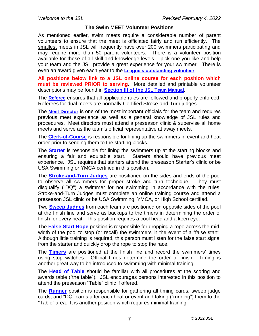#### **The Swim MEET Volunteer Positions**

As mentioned earlier, swim meets require a considerable number of parent volunteers to ensure that the meet is officiated fairly and run efficiently. The smallest meets in JSL will frequently have over 200 swimmers participating and may require more than 50 parent volunteers. There is a volunteer position available for those of all skill and knowledge levels – pick one you like and help your team and the JSL provide a great experience for your swimmer. There is even an award given each year to the **[League's outstanding volunteer](https://www.jsl.org/championship-awards-bob-garland2020.php?section=awards)**.

**All positions below link to a JSL online course for each position which must be reviewed PRIOR to serving**. More detailed and printable volunteer descriptions may be found in **[Section III of the](https://www.jsl.org/documents/bin/Current/JSLTeamManual.pdf#page=29) [JSL Team Manual.](https://www.jsl.org/documents/bin/Current/JSLTeamManual.pdf#page=29)**

The **[Referee](https://www.jsl.org/information2020.php?content=refcourse&menu=support§ion=workers)** ensures that all applicable rules are followed and properly enforced. Referees for dual meets are normally Certified Stroke-and-Turn judges.

The **[Meet Director](https://www.jsl.org/information2020.php?content=meetdirect&menu=support§ion=workers)** is one of the most important officials for the team and requires previous meet experience as well as a general knowledge of JSL rules and procedures. Meet directors must attend a preseason clinic & supervise all home meets and serve as the team's official representative at away meets.

The **[Clerk-of-Course](https://www.jsl.org/information2020.php?content=courseclerk&menu=support§ion=workers)** is responsible for lining up the swimmers in event and heat order prior to sending them to the starting blocks.

The **[Starter](https://www.jsl.org/information2020.php?content=starter&menu=support§ion=workers)** is responsible for lining the swimmers up at the starting blocks and ensuring a fair and equitable start. Starters should have previous meet experience. JSL requires that starters attend the preseason Starter's clinic or be USA Swimming or YMCA certified in this position.

The **[Stroke-and-Turn Judges](https://www.jsl.org/information2020.php?content=sandt&menu=support§ion=workers)** are positioned on the sides and ends of the pool to observe all swimmers for proper stroke and turn technique. They must disqualify ("DQ") a swimmer for not swimming in accordance with the rules. Stroke-and-Turn Judges must complete an online training course and attend a preseason JSL clinic or be USA Swimming, YMCA, or High School certified.

Two **[Sweep Judges](https://www.jsl.org/information2020.php?content=sweep&menu=support§ion=workers)** from each team are positioned on opposite sides of the pool at the finish line and serve as backups to the timers in determining the order of finish for every heat. This position requires a cool head and a keen eye.

The **[False Start Rope](https://www.jsl.org/information2020.php?content=falsestart&menu=support§ion=workers)** position is responsible for dropping a rope across the midwidth of the pool to stop (or recall) the swimmers in the event of a "false start". Although little training is required, this person must listen for the false start signal from the starter and quickly drop the rope to stop the race.

The **[Timers](https://www.jsl.org/information2020.php?content=timer&menu=support§ion=workers)** are positioned at the finish line and record the swimmers' times using stop watches. Official times determine the order of finish. Timing is another great way to be introduced to swimming with minimal training.

The **[Head of Table](https://www.jsl.org/information2020.php?content=headtable&menu=support§ion=workers)** should be familiar with all procedures at the scoring and awards table ("the table"). JSL encourages persons interested in this position to attend the preseason "Table" clinic if offered.

The **[Runner](https://www.jsl.org/information2020.php?content=runner&menu=support§ion=workers)** position is responsible for gathering all timing cards, sweep judge cards, and "DQ" cards after each heat or event and taking ("running") them to the "Table" area. It is another position which requires minimal training.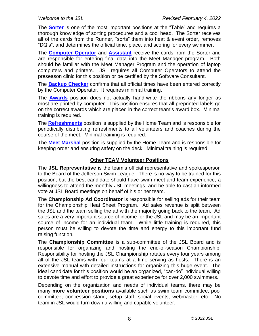The **[Sorter](https://www.jsl.org/information2020.php?content=sorter&menu=support§ion=workers)** is one of the most important positions at the "Table" and requires a thorough knowledge of sorting procedures and a cool head. The Sorter receives all of the cards from the Runner, "sorts" them into heat & event order, removes "DQ's", and determines the official time, place, and scoring for every swimmer.

The **[Computer Operator](https://www.jsl.org/information2020.php?content=compop&menu=support§ion=workers)** and **[Assistant](https://www.jsl.org/information2020.php?content=compassist&menu=support§ion=workers)** receive the cards from the Sorter and are responsible for entering final data into the Meet Manager program. Both should be familiar with the Meet Manager Program and the operation of laptop computers and printers. JSL requires all Computer Operators to attend the preseason clinic for this position or be certified by the Software Consultant.

The **[Backup Checker](https://www.jsl.org/information2020.php?content=backupchecker&menu=support§ion=workers)** confirms that all official times have been entered correctly by the Computer Operator. It requires minimal training.

The **[Awards](https://www.jsl.org/information2020.php?content=awards&menu=support§ion=workers)** position does not actually hand-write the ribbons any longer as most are printed by computer. This position ensures that all preprinted labels go on the correct awards which are placed in the correct team's award box. Minimal training is required.

The **[Refreshments](https://www.jsl.org/information2020.php?content=refreshments&menu=support§ion=workers)** position is supplied by the Home Team and is responsible for periodically distributing refreshments to all volunteers and coaches during the course of the meet. Minimal training is required.

The **[Meet Marshal](https://www.jsl.org/information2020.php?content=meetmarshal&menu=support§ion=workers)** position is supplied by the Home Team and is responsible for keeping order and ensuring safety on the deck. Minimal training is required.

#### **Other TEAM Volunteer Positions**

The **JSL Representative** is the team's official representative and spokesperson to the Board of the Jefferson Swim League. There is no way to be trained for this position, but the best candidate should have swim meet and team experience, a willingness to attend the monthly JSL meetings, and be able to cast an informed vote at JSL Board meetings on behalf of his or her team.

The **Championship Ad Coordinator** is responsible for selling ads for their team for the Championship Heat Sheet Program. Ad sales revenue is split between the JSL and the team selling the ad with the majority going back to the team. Ad sales are a very important source of income for the JSL and may be an important source of income for an individual team. While little training is required, this person must be willing to devote the time and energy to this important fund raising function.

The **Championship Committee** is a sub-committee of the JSL Board and is responsible for organizing and hosting the end-of-season Championship. Responsibility for hosting the JSL Championship rotates every four years among all of the JSL teams with four teams at a time serving as hosts. There is an extensive manual with detailed instructions for organizing this huge event. The ideal candidate for this position would be an organized, "can-do" individual willing to devote time and effort to provide a great experience for over 2,000 swimmers.

Depending on the organization and needs of individual teams, there may be many **more volunteer positions** available such as swim team committee, pool committee, concession stand, setup staff, social events, webmaster, etc. No team in JSL would turn down a willing and capable volunteer.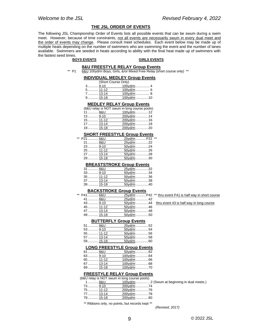#### **THE JSL ORDER OF EVENTS**

The following JSL Championship Order of Events lists all possible events that can be swum during a swim meet. However, because of time constraints, not all events are necessarily swum in every dual meet and the order of events may change. Please consult meet schedules. Each event below may be made up of multiple heats depending on the number of swimmers who are swimming the event and the number of lanes available. Swimmers are seeded in heats according to ability with the final heat made up of swimmers with the fastest seed times.<br>BOYS EVENTS

#### **BOYS EVENTS GIRLS EVENTS**

#### **8&U FREESTYLE RELAY Group Events**

\*\* P1 6&U 100yd/m Boys, Girls, &/or Mixed Free Relay (short course only) \*\*

#### **INDIVIDUAL MEDLEY Group Events**

|           | (Short Course Only) |              |
|-----------|---------------------|--------------|
|           | $3 \dots 9 - 10$    | 100 $vd/m$ 4 |
|           |                     | 100yd/m  6   |
| 7 13-14   |                     | 100yd/m  8   |
| $9$ 15-18 |                     | $100yd/m$ 10 |

#### **MEDLEY RELAY Group Events**

|              | (8&U relay is NOT swum in long course pools) |  |
|--------------|----------------------------------------------|--|
| 11  8&U      | $100yd/m$ 12                                 |  |
| 13 9-10      | 200vd/m 14                                   |  |
| 15 11-12     | 200yd/m 16                                   |  |
| 17  13-14    | 200yd/m 18                                   |  |
| 19………… 15-18 | 200yd/m 20                                   |  |

#### **SHORT FREESTYLE Group Events**

| ** | P21  6&U  | 25yd/m  P22 ** |  |
|----|-----------|----------------|--|
|    | 21  8&U   | 25yd/m 22      |  |
|    | $23$ 9-10 | 50yd/m 24      |  |
|    |           | 50yd/m 26      |  |
|    | 27  13-14 | 50yd/m 28      |  |
|    | 29 15-18  | 50yd/m 30      |  |

#### **BREASTSTROKE Group Events**

| 31  8&U    | 25vd/m 32 |
|------------|-----------|
| $33$ 9-10  | 50yd/m 34 |
|            | 50yd/m 36 |
| 37 13-14   | 50yd/m 38 |
| $39$ 15-18 | 50vd/m 40 |

#### **BACKSTROKE Group Events**

| P41  6&U   | 25vd/m  P42 |  |
|------------|-------------|--|
| 41  8&U    | 25yd/m 42   |  |
| $43$ 9-10  | 50yd/m 44   |  |
| $45$ 11-12 | 50yd/m 46   |  |
| 47  13-14  | 50yd/m 48   |  |
| 49 15-18   | 50yd/m 50   |  |

thru event P41 is half way in short course

thru event 43 is half way in long course

#### **BUTTERFLY Group Events**

| 51  8&U    | 25vd/m 52 |  |
|------------|-----------|--|
| $53$ 9-10  | 50yd/m 54 |  |
| $55$ 11-12 | 50yd/m 56 |  |
| 57 13-14   | 50yd/m 58 |  |
| 59 15-18   | 50vd/m 60 |  |

#### **LONG FREESTYLE Group Events**

| 61  8&U  | 50yd/m 62  |
|----------|------------|
| 63 9-10  | 100vd/m 64 |
| 65 11-12 | 100vd/m 66 |
| 67 13-14 | 100vd/m 68 |
| 69 15-18 | 100yd/m 70 |

#### **FREESTYLE RELAY Group Events**

|             | (8&U relay is NOT swum in long course pools) |  |
|-------------|----------------------------------------------|--|
| 1………… 8&U   |                                              |  |
| 73………… 9-10 | 200yd/m 74                                   |  |
| 75 11-12    | 200yd/m 76                                   |  |
| 77  13-14   | 200vd/m 78                                   |  |

79........... 15-18 200yd/m .............80

\*\* Ribbons only, no points, but records kept \*\*

*(Revised, 2017)*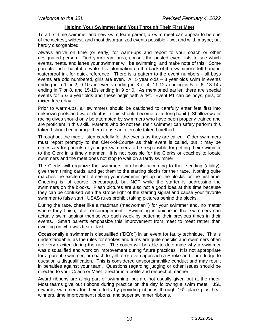#### **Helping Your Swimmer (and You) Through Their First Meet**

To a first time swimmer and new swim team parent, a swim meet can appear to be one of the wettest, wildest, and most disorganized events possible - wet and wild, maybe; but hardly disorganized.

Always arrive on time (or early) for warm-ups and report to your coach or other designated person. Find your team area, consult the posted event lists to see which events, heats, and lanes your swimmer will be swimming, and make note of this. Some parents find it helpful to write this information on the back of the swimmer's left hand in waterproof ink for quick reference. There is a pattern to the event numbers - all boys events are odd numbered, girls are even. All 5 year olds – 8 year olds swim in events ending in a 1 or 2; 9-10s in events ending in 3 or 4; 11-12s ending in 5 or 6; 13-14s ending in 7 or 8, and 15-18s ending in 9 or 0. As mentioned earlier, there are special events for 5 & 6 year olds and these begin with a "P". Event P1 can be boys, girls, or mixed free relay.

Prior to warm-ups, all swimmers should be cautioned to carefully enter feet first into unknown pools and water depths. (This should become a life-long habit.) Shallow water racing dives should only be attempted by swimmers who have been properly trained and are proficient in this skill. Parents who do not feel their swimmer can safely perform this takeoff should encourage them to use an alternate takeoff method.

Throughout the meet, listen carefully for the events as they are called. Older swimmers must report promptly to the Clerk-of-Course as their event is called, but it may be necessary for parents of younger swimmers to be responsible for getting their swimmer to the Clerk in a timely manner. It is not possible for the Clerks or coaches to locate swimmers and the meet does not stop to wait on a tardy swimmer.

The Clerks will organize the swimmers into heats according to their seeding (ability), give them timing cards, and get them to the starting blocks for their race. Nothing quite matches the excitement of seeing your swimmer get up on the blocks for the first time. Cheering is, of course, encouraged, but NOT while the starter is addressing the swimmers on the blocks. Flash pictures are also not a good idea at this time because they can be confused with the strobe light of the starting signal and cause your favorite swimmer to false start. USAS rules prohibit taking pictures behind the blocks.

During the race, cheer like a madman (madwoman?) for your swimmer and, no matter where they finish, offer encouragement. Swimming is unique in that swimmers can actually swim against themselves each week by bettering their previous times in their events. Smart parents emphasize this improvement from meet to meet rather than dwelling on who was first or last.

Occasionally a swimmer is disqualified ("DQ'd") in an event for faulty technique. This is understandable, as the rules for strokes and turns are quite specific and swimmers often get very excited during the race. The coach will be able to determine why a swimmer was disqualified and work on improvement during future practices. It is not appropriate for a parent, swimmer, or coach to yell at or even approach a Stroke-and-Turn Judge to question a disqualification. This is considered unsportsmanlike conduct and may result in penalties against your team. Questions regarding judging or other issues should be directed to your Coach or Meet Director in a polite and respectful manner.

Award ribbons are a big part of swimming, but are not usually given out at the meet. Most teams give out ribbons during practice on the day following a swim meet. JSL rewards swimmers for their efforts by providing ribbons through  $16<sup>th</sup>$  place plus heat winners, time improvement ribbons, and super swimmer ribbons.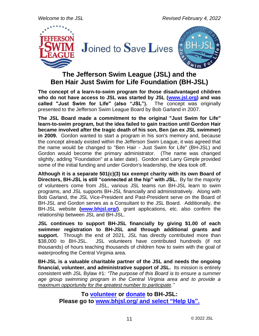*Welcome to the JSL Revised February 4, 2022*



### **The Jefferson Swim League (JSL) and the Ben Hair Just Swim for Life Foundation (BH-JSL)**

**The concept of a learn-to-swim program for those disadvantaged children who do not have access to JSL was started by JSL [\(www.jsl.org\)](https://www.jsl.org/index.php) and was called "Just Swim for Life" (also "JSL").** The concept was originally presented to the Jefferson Swim League Board by Bob Garland in 2007.

**The JSL Board made a commitment to the original "Just Swim for Life" learn-to-swim program, but the idea failed to gain traction until Gordon Hair became involved after the tragic death of his son, Ben (an ex JSL swimmer) in 2009.** Gordon wanted to start a program in his son's memory and, because the concept already existed within the Jefferson Swim League, it was agreed that the name would be changed to "Ben Hair - Just Swim for Life" (BH-JSL) and Gordon would become the primary administrator. (The name was changed slightly, adding "Foundation" at a later date). Gordon and Larry Gimple provided some of the initial funding and under Gordon's leadership, the idea took off.

**Although it is a separate 501(c)(3) tax exempt charity with its own Board of Directors, BH-JSL is still "connected at the hip" with JSL.** By far the majority of volunteers come from JSL, various JSL teams run BH-JSL learn to swim programs, and JSL supports BH-JSL financially and administratively. Along with Bob Garland, the JSL Vice-President and Past-President serve on the Board of BH-JSL and Gordon serves as a Consultant to the JSL Board. Additionally, the BH-JSL website **[\(www.bhjsl.org/\)](http://bhjsl.org/)**, grant applications, etc. also confirm the relationship between JSL and BH-JSL.

**JSL continues to support BH-JSL financially by giving \$1.00 of each swimmer registration to BH-JSL and through additional grants and**  support. Through the end of 2021, JSL has directly contributed more than \$38,000 to BH-JSL. JSL volunteers have contributed hundreds (if not thousands) of hours teaching thousands of children how to swim with the goal of waterproofing the Central Virginia area.

**BH-JSL is a valuable charitable partner of the JSL and needs the ongoing financial, volunteer, and administrative support of JSL.** Its mission is entirely consistent with JSL Bylaw #1: *"The purpose of this Board is to ensure a summer age group swimming program in the Central Virginia area and to provide a maximum opportunity for the greatest number to participate."*

> **To [volunteer](https://www.bhjsl.org/help-us/volunteer/) or [donate](https://www.bhjsl.org/help-us/donate/) to BH-JSL: Please go to [www.bhjsl.org/](https://www.bhjsl.org/) and select "Help Us".**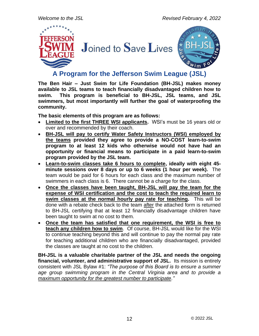

**A Program for the Jefferson Swim League (JSL)**

**The Ben Hair – Just Swim for Life Foundation (BH-JSL) makes money available to JSL teams to teach financially disadvantaged children how to swim. This program is beneficial to BH-JSL, JSL teams, and JSL swimmers, but most importantly will further the goal of waterproofing the community.**

**The basic elements of this program are as follows:**

- **Limited to the first THREE WSI applicants.** WSI's must be 16 years old or over and recommended by their coach.
- **BH-JSL will pay to certify Water Safety Instructors (WSI) employed by the teams provided they agree to provide a NO-COST learn-to-swim program to at least 12 kids who otherwise would not have had an opportunity or financial means to participate in a paid learn-to-swim program provided by the JSL team.**
- **Learn-to-swim classes take 6 hours to complete, ideally with eight 45 minute sessions over 8 days or up to 6 weeks (1 hour per week).** The team would be paid for 6 hours for each class and the maximum number of swimmers in each class is 6. There cannot be a charge for the class.
- **Once the classes have been taught, BH-JSL will pay the team for the expense of WSI certification and the cost to teach the required learn to swim classes at the normal hourly pay rate for teaching.** This will be done with a rebate check back to the team after the attached form is returned to BH-JSL certifying that at least 12 financially disadvantage children have been taught to swim at no cost to them.
- **Once the team has satisfied that one requirement, the WSI is free to teach any children how to swim**. Of course, BH-JSL would like for the WSI to continue teaching beyond this and will continue to pay the normal pay rate for teaching additional children who are financially disadvantaged, provided the classes are taught at no cost to the children.

**BH-JSL is a valuable charitable partner of the JSL and needs the ongoing financial, volunteer, and administrative support of JSL.** Its mission is entirely consistent with JSL Bylaw #1: *"The purpose of this Board is to ensure a summer age group swimming program in the Central Virginia area and to provide a maximum opportunity for the greatest number to participate."*